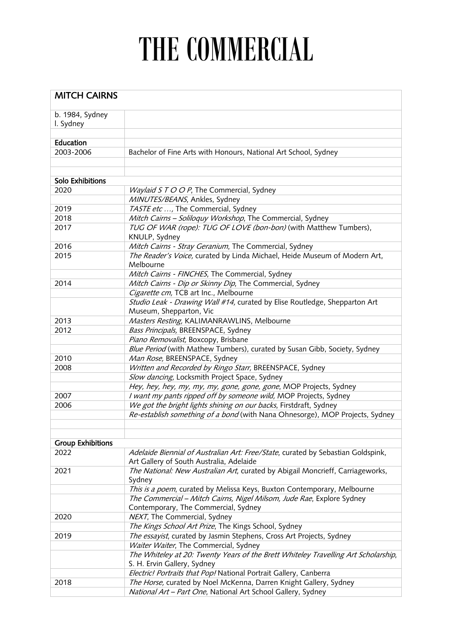## THE COMMERCIAL

| <b>MITCH CAIRNS</b>      |                                                                                    |  |
|--------------------------|------------------------------------------------------------------------------------|--|
|                          |                                                                                    |  |
| b. 1984, Sydney          |                                                                                    |  |
| I. Sydney                |                                                                                    |  |
|                          |                                                                                    |  |
| Education                |                                                                                    |  |
| 2003-2006                | Bachelor of Fine Arts with Honours, National Art School, Sydney                    |  |
|                          |                                                                                    |  |
| <b>Solo Exhibitions</b>  |                                                                                    |  |
| 2020                     | Waylaid S T O O P, The Commercial, Sydney                                          |  |
|                          | MINUTES/BEANS, Ankles, Sydney                                                      |  |
| 2019                     | TASTE etc , The Commercial, Sydney                                                 |  |
| 2018                     | Mitch Cairns - Soliloquy Workshop, The Commercial, Sydney                          |  |
| 2017                     | TUG OF WAR (rope): TUG OF LOVE (bon-bon) (with Matthew Tumbers),                   |  |
|                          | KNULP, Sydney                                                                      |  |
| 2016                     | Mitch Cairns - Stray Geranium, The Commercial, Sydney                              |  |
| 2015                     | The Reader's Voice, curated by Linda Michael, Heide Museum of Modern Art,          |  |
|                          | Melbourne                                                                          |  |
|                          | Mitch Cairns - FINCHES, The Commercial, Sydney                                     |  |
| 2014                     | Mitch Cairns - Dip or Skinny Dip, The Commercial, Sydney                           |  |
|                          | Cigarette cm, TCB art Inc., Melbourne                                              |  |
|                          | Studio Leak - Drawing Wall #14, curated by Elise Routledge, Shepparton Art         |  |
|                          | Museum, Shepparton, Vic                                                            |  |
| 2013                     | Masters Resting, KALIMANRAWLINS, Melbourne                                         |  |
| 2012                     | Bass Principals, BREENSPACE, Sydney                                                |  |
|                          | Piano Removalist, Boxcopy, Brisbane                                                |  |
|                          | Blue Period (with Mathew Tumbers), curated by Susan Gibb, Society, Sydney          |  |
| 2010                     | Man Rose, BREENSPACE, Sydney                                                       |  |
| 2008                     | Written and Recorded by Ringo Starr, BREENSPACE, Sydney                            |  |
|                          | Slow dancing, Locksmith Project Space, Sydney                                      |  |
|                          | Hey, hey, hey, my, my, my, gone, gone, gone, MOP Projects, Sydney                  |  |
| 2007                     | I want my pants ripped off by someone wild, MOP Projects, Sydney                   |  |
| 2006                     | We got the bright lights shining on our backs, Firstdraft, Sydney                  |  |
|                          | Re-establish something of a bond (with Nana Ohnesorge), MOP Projects, Sydney       |  |
|                          |                                                                                    |  |
| <b>Group Exhibitions</b> |                                                                                    |  |
| 2022                     | Adelaide Biennial of Australian Art: Free/State, curated by Sebastian Goldspink,   |  |
|                          | Art Gallery of South Australia, Adelaide                                           |  |
| 2021                     | The National: New Australian Art, curated by Abigail Moncrieff, Carriageworks,     |  |
|                          | Sydney                                                                             |  |
|                          | This is a poem, curated by Melissa Keys, Buxton Contemporary, Melbourne            |  |
|                          | The Commercial - Mitch Cairns, Nigel Milsom, Jude Rae, Explore Sydney              |  |
|                          | Contemporary, The Commercial, Sydney                                               |  |
| 2020                     | NEXT, The Commercial, Sydney                                                       |  |
|                          | The Kings School Art Prize, The Kings School, Sydney                               |  |
| 2019                     | The essayist, curated by Jasmin Stephens, Cross Art Projects, Sydney               |  |
|                          | Waiter Waiter, The Commercial, Sydney                                              |  |
|                          | The Whiteley at 20: Twenty Years of the Brett Whiteley Travelling Art Scholarship, |  |
|                          | S. H. Ervin Gallery, Sydney                                                        |  |
|                          | Electric! Portraits that Pop! National Portrait Gallery, Canberra                  |  |
| 2018                     | The Horse, curated by Noel McKenna, Darren Knight Gallery, Sydney                  |  |
|                          | National Art - Part One, National Art School Gallery, Sydney                       |  |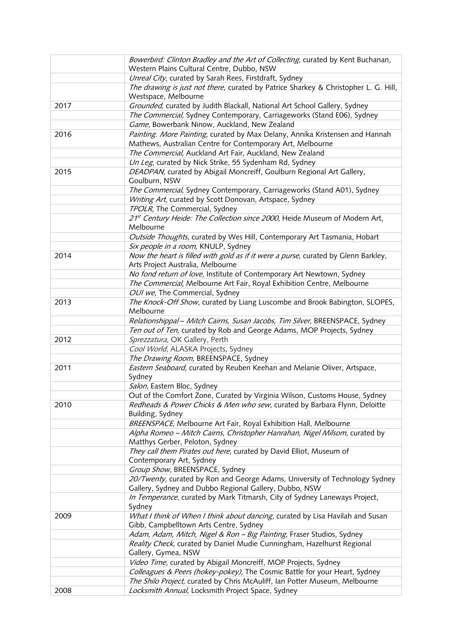|      | Bowerbird: Clinton Bradley and the Art of Collecting, curated by Kent Buchanan,<br>Western Plains Cultural Centre, Dubbo, NSW              |
|------|--------------------------------------------------------------------------------------------------------------------------------------------|
|      | Unreal City, curated by Sarah Rees, Firstdraft, Sydney                                                                                     |
|      | The drawing is just not there, curated by Patrice Sharkey & Christopher L. G. Hill,                                                        |
|      | Westspace, Melbourne                                                                                                                       |
| 2017 | Grounded, curated by Judith Blackall, National Art School Gallery, Sydney                                                                  |
|      | The Commercial, Sydney Contemporary, Carriageworks (Stand E06), Sydney                                                                     |
|      | Game, Bowerbank Ninow, Auckland, New Zealand                                                                                               |
| 2016 | Painting. More Painting, curated by Max Delany, Annika Kristensen and Hannah<br>Mathews, Australian Centre for Contemporary Art, Melbourne |
|      | The Commercial, Auckland Art Fair, Auckland, New Zealand                                                                                   |
|      | Un Leg, curated by Nick Strike, 55 Sydenham Rd, Sydney                                                                                     |
| 2015 | DEADPAN, curated by Abigail Moncreiff, Goulburn Regional Art Gallery,                                                                      |
|      | Goulburn, NSW                                                                                                                              |
|      | The Commercial, Sydney Contemporary, Carriageworks (Stand A01), Sydney                                                                     |
|      | Writing Art, curated by Scott Donovan, Artspace, Sydney                                                                                    |
|      | TPOLR, The Commercial, Sydney                                                                                                              |
|      | 21st Century Heide: The Collection since 2000, Heide Museum of Modern Art,                                                                 |
|      | Melbourne                                                                                                                                  |
|      | Outside Thoughts, curated by Wes Hill, Contemporary Art Tasmania, Hobart                                                                   |
|      | Six people in a room, KNULP, Sydney                                                                                                        |
| 2014 | Now the heart is filled with gold as if it were a purse, curated by Glenn Barkley,                                                         |
|      | Arts Project Australia, Melbourne                                                                                                          |
|      | No fond return of love, Institute of Contemporary Art Newtown, Sydney                                                                      |
|      | The Commercial, Melbourne Art Fair, Royal Exhibition Centre, Melbourne                                                                     |
|      | OUI we, The Commercial, Sydney                                                                                                             |
| 2013 | The Knock-Off Show, curated by Liang Luscombe and Brook Babington, SLOPES,<br>Melbourne                                                    |
|      | Relationshippal - Mitch Cairns, Susan Jacobs, Tim Silver, BREENSPACE, Sydney                                                               |
|      | Ten out of Ten, curated by Rob and George Adams, MOP Projects, Sydney                                                                      |
| 2012 | Sprezzatura, OK Gallery, Perth                                                                                                             |
|      | Cool World, ALASKA Projects, Sydney                                                                                                        |
|      | The Drawing Room, BREENSPACE, Sydney                                                                                                       |
| 2011 | Eastern Seaboard, curated by Reuben Keehan and Melanie Oliver, Artspace,                                                                   |
|      | Sydney                                                                                                                                     |
|      | Salon, Eastern Bloc, Sydney                                                                                                                |
|      | Out of the Comfort Zone, Curated by Virginia Wilson, Customs House, Sydney                                                                 |
| 2010 | Redheads & Power Chicks & Men who sew, curated by Barbara Flynn, Deloitte                                                                  |
|      | Building, Sydney                                                                                                                           |
|      | BREENSPACE, Melbourne Art Fair, Royal Exhibition Hall, Melbourne                                                                           |
|      | Alpha Romeo - Mitch Cairns, Christopher Hanrahan, Nigel Milsom, curated by                                                                 |
|      | Matthys Gerber, Peloton, Sydney                                                                                                            |
|      | They call them Pirates out here, curated by David Elliot, Museum of<br>Contemporary Art, Sydney                                            |
|      | Group Show, BREENSPACE, Sydney                                                                                                             |
|      | 20/Twenty, curated by Ron and George Adams, University of Technology Sydney                                                                |
|      | Gallery, Sydney and Dubbo Regional Gallery, Dubbo, NSW                                                                                     |
|      | In Temperance, curated by Mark Titmarsh, City of Sydney Laneways Project,                                                                  |
|      | Sydney                                                                                                                                     |
| 2009 | What I think of When I think about dancing, curated by Lisa Havilah and Susan                                                              |
|      | Gibb, Campbelltown Arts Centre, Sydney                                                                                                     |
|      | Adam, Adam, Mitch, Nigel & Ron - Big Painting, Fraser Studios, Sydney                                                                      |
|      | Reality Check, curated by Daniel Mudie Cunningham, Hazelhurst Regional                                                                     |
|      | Gallery, Gymea, NSW                                                                                                                        |
|      | Video Time, curated by Abigail Moncreiff, MOP Projects, Sydney                                                                             |
|      | Colleagues & Peers (hokey-pokey), The Cosmic Battle for your Heart, Sydney                                                                 |
|      | The Shilo Project, curated by Chris McAuliff, Ian Potter Museum, Melbourne                                                                 |
| 2008 | Locksmith Annual, Locksmith Project Space, Sydney                                                                                          |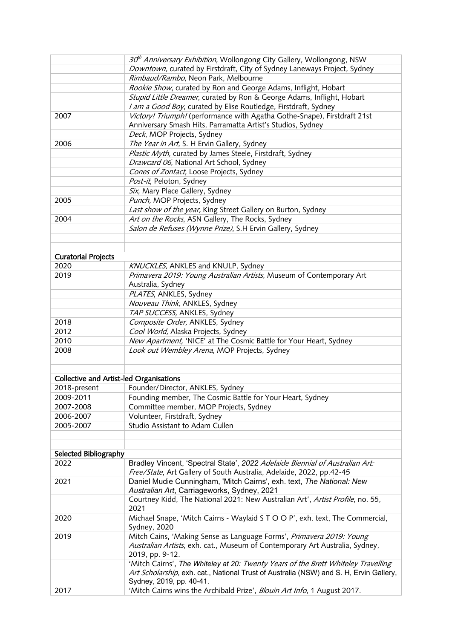|                                                | 30 <sup>th</sup> Anniversary Exhibition, Wollongong City Gallery, Wollongong, NSW                                                                    |
|------------------------------------------------|------------------------------------------------------------------------------------------------------------------------------------------------------|
|                                                | Downtown, curated by Firstdraft, City of Sydney Laneways Project, Sydney                                                                             |
|                                                | Rimbaud/Rambo, Neon Park, Melbourne                                                                                                                  |
|                                                | Rookie Show, curated by Ron and George Adams, Inflight, Hobart                                                                                       |
|                                                | Stupid Little Dreamer, curated by Ron & George Adams, Inflight, Hobart                                                                               |
|                                                | I am a Good Boy, curated by Elise Routledge, Firstdraft, Sydney                                                                                      |
| 2007                                           | Victory! Triumph! (performance with Agatha Gothe-Snape), Firstdraft 21st                                                                             |
|                                                | Anniversary Smash Hits, Parramatta Artist's Studios, Sydney                                                                                          |
|                                                | Deck, MOP Projects, Sydney                                                                                                                           |
| 2006                                           | The Year in Art, S. H Ervin Gallery, Sydney                                                                                                          |
|                                                | Plastic Myth, curated by James Steele, Firstdraft, Sydney                                                                                            |
|                                                | Drawcard 06, National Art School, Sydney                                                                                                             |
|                                                |                                                                                                                                                      |
|                                                | Cones of Zontact, Loose Projects, Sydney                                                                                                             |
|                                                | Post-it, Peloton, Sydney                                                                                                                             |
|                                                | Six, Mary Place Gallery, Sydney                                                                                                                      |
| 2005                                           | Punch, MOP Projects, Sydney                                                                                                                          |
|                                                | Last show of the year, King Street Gallery on Burton, Sydney                                                                                         |
| 2004                                           | Art on the Rocks, ASN Gallery, The Rocks, Sydney                                                                                                     |
|                                                | Salon de Refuses (Wynne Prize), S.H Ervin Gallery, Sydney                                                                                            |
|                                                |                                                                                                                                                      |
| <b>Curatorial Projects</b>                     |                                                                                                                                                      |
| 2020                                           | KNUCKLES, ANKLES and KNULP, Sydney                                                                                                                   |
| 2019                                           | Primavera 2019: Young Australian Artists, Museum of Contemporary Art                                                                                 |
|                                                | Australia, Sydney                                                                                                                                    |
|                                                | PLATES, ANKLES, Sydney                                                                                                                               |
|                                                | Nouveau Think, ANKLES, Sydney                                                                                                                        |
|                                                | TAP SUCCESS, ANKLES, Sydney                                                                                                                          |
| 2018                                           | Composite Order, ANKLES, Sydney                                                                                                                      |
| 2012                                           | Cool World, Alaska Projects, Sydney                                                                                                                  |
| 2010                                           | New Apartment, 'NICE' at The Cosmic Battle for Your Heart, Sydney                                                                                    |
| 2008                                           | Look out Wembley Arena, MOP Projects, Sydney                                                                                                         |
|                                                |                                                                                                                                                      |
| <b>Collective and Artist-led Organisations</b> |                                                                                                                                                      |
| 2018-present                                   | Founder/Director, ANKLES, Sydney                                                                                                                     |
| 2009-2011                                      |                                                                                                                                                      |
|                                                | Founding member, The Cosmic Battle for Your Heart, Sydney                                                                                            |
| 2007-2008                                      | Committee member, MOP Projects, Sydney                                                                                                               |
| 2006-2007                                      | Volunteer, Firstdraft, Sydney                                                                                                                        |
| 2005-2007                                      | Studio Assistant to Adam Cullen                                                                                                                      |
|                                                |                                                                                                                                                      |
| Selected Bibliography                          |                                                                                                                                                      |
| 2022                                           | Bradley Vincent, 'Spectral State', 2022 Adelaide Biennial of Australian Art:<br>Free/State, Art Gallery of South Australia, Adelaide, 2022, pp.42-45 |
| 2021                                           | Daniel Mudie Cunningham, 'Mitch Cairns', exh. text, The National: New                                                                                |
|                                                | Australian Art, Carriageworks, Sydney, 2021                                                                                                          |
|                                                | Courtney Kidd, The National 2021: New Australian Art', Artist Profile, no. 55,                                                                       |
|                                                | 2021                                                                                                                                                 |
| 2020                                           | Michael Snape, 'Mitch Cairns - Waylaid S T O O P', exh. text, The Commercial,<br>Sydney, 2020                                                        |
| 2019                                           | Mitch Cains, 'Making Sense as Language Forms', Primavera 2019: Young                                                                                 |
|                                                | Australian Artists, exh. cat., Museum of Contemporary Art Australia, Sydney,                                                                         |
|                                                | 2019, pp. 9-12.                                                                                                                                      |
|                                                | 'Mitch Cairns', The Whiteley at 20: Twenty Years of the Brett Whiteley Travelling                                                                    |
|                                                | Art Scholarship, exh. cat., National Trust of Australia (NSW) and S. H, Ervin Gallery,                                                               |
|                                                | Sydney, 2019, pp. 40-41.                                                                                                                             |
| 2017                                           | 'Mitch Cairns wins the Archibald Prize', Blouin Art Info, 1 August 2017.                                                                             |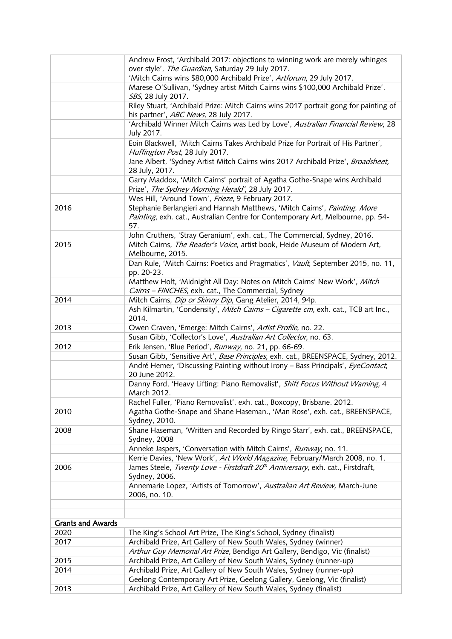|                          | Andrew Frost, 'Archibald 2017: objections to winning work are merely whinges<br>over style', The Guardian, Saturday 29 July 2017.                                   |
|--------------------------|---------------------------------------------------------------------------------------------------------------------------------------------------------------------|
|                          | 'Mitch Cairns wins \$80,000 Archibald Prize', Artforum, 29 July 2017.                                                                                               |
|                          | Marese O'Sullivan, 'Sydney artist Mitch Cairns wins \$100,000 Archibald Prize',                                                                                     |
|                          | SBS, 28 July 2017.<br>Riley Stuart, 'Archibald Prize: Mitch Cairns wins 2017 portrait gong for painting of                                                          |
|                          | his partner', ABC News, 28 July 2017.                                                                                                                               |
|                          | 'Archibald Winner Mitch Cairns was Led by Love', Australian Financial Review, 28<br>July 2017.                                                                      |
|                          | Eoin Blackwell, 'Mitch Cairns Takes Archibald Prize for Portrait of His Partner',<br>Huffington Post, 28 July 2017.                                                 |
|                          | Jane Albert, 'Sydney Artist Mitch Cairns wins 2017 Archibald Prize', Broadsheet,<br>28 July, 2017.                                                                  |
|                          | Garry Maddox, 'Mitch Cairns' portrait of Agatha Gothe-Snape wins Archibald<br>Prize', The Sydney Morning Herald', 28 July 2017.                                     |
|                          | Wes Hill, 'Around Town', Frieze, 9 February 2017.                                                                                                                   |
| 2016                     | Stephanie Berlangieri and Hannah Matthews, 'Mitch Cairns', Painting. More<br>Painting, exh. cat., Australian Centre for Contemporary Art, Melbourne, pp. 54-<br>57. |
|                          | John Cruthers, 'Stray Geranium', exh. cat., The Commercial, Sydney, 2016.                                                                                           |
| 2015                     | Mitch Cairns, The Reader's Voice, artist book, Heide Museum of Modern Art,<br>Melbourne, 2015.                                                                      |
|                          | Dan Rule, 'Mitch Cairns: Poetics and Pragmatics', Vault, September 2015, no. 11,<br>pp. 20-23.                                                                      |
|                          | Matthew Holt, 'Midnight All Day: Notes on Mitch Cairns' New Work', Mitch<br>Cairns - FINCHES, exh. cat., The Commercial, Sydney                                     |
| 2014                     | Mitch Cairns, Dip or Skinny Dip, Gang Atelier, 2014, 94p.                                                                                                           |
|                          | Ash Kilmartin, 'Condensity', Mitch Cairns - Cigarette cm, exh. cat., TCB art Inc.,<br>2014.                                                                         |
| 2013                     | Owen Craven, 'Emerge: Mitch Cairns', Artist Profile, no. 22.                                                                                                        |
|                          | Susan Gibb, 'Collector's Love', Australian Art Collector, no. 63.                                                                                                   |
| 2012                     | Erik Jensen, 'Blue Period', Runway, no. 21, pp. 66-69.                                                                                                              |
|                          | Susan Gibb, 'Sensitive Art', Base Principles, exh. cat., BREENSPACE, Sydney, 2012.                                                                                  |
|                          | André Hemer, 'Discussing Painting without Irony - Bass Principals', EyeContact,<br>20 June 2012.                                                                    |
|                          | Danny Ford, 'Heavy Lifting: Piano Removalist', Shift Focus Without Warning, 4<br>March 2012.                                                                        |
|                          | Rachel Fuller, 'Piano Removalist', exh. cat., Boxcopy, Brisbane. 2012.                                                                                              |
| 2010                     | Agatha Gothe-Snape and Shane Haseman., 'Man Rose', exh. cat., BREENSPACE,<br>Sydney, 2010.                                                                          |
| 2008                     | Shane Haseman, 'Written and Recorded by Ringo Starr', exh. cat., BREENSPACE,<br>Sydney, 2008                                                                        |
|                          | Anneke Jaspers, 'Conversation with Mitch Cairns', Runway, no. 11.                                                                                                   |
|                          | Kerrie Davies, 'New Work', Art World Magazine, February/March 2008, no. 1.                                                                                          |
| 2006                     | James Steele, Twenty Love - Firstdraft 20 <sup>th</sup> Anniversary, exh. cat., Firstdraft,<br>Sydney, 2006.                                                        |
|                          | Annemarie Lopez, 'Artists of Tomorrow', Australian Art Review, March-June<br>2006, no. 10.                                                                          |
|                          |                                                                                                                                                                     |
| <b>Grants and Awards</b> |                                                                                                                                                                     |
| 2020                     | The King's School Art Prize, The King's School, Sydney (finalist)                                                                                                   |
| 2017                     | Archibald Prize, Art Gallery of New South Wales, Sydney (winner)                                                                                                    |
|                          | Arthur Guy Memorial Art Prize, Bendigo Art Gallery, Bendigo, Vic (finalist)                                                                                         |
| 2015                     | Archibald Prize, Art Gallery of New South Wales, Sydney (runner-up)                                                                                                 |
| 2014                     | Archibald Prize, Art Gallery of New South Wales, Sydney (runner-up)                                                                                                 |
| 2013                     | Geelong Contemporary Art Prize, Geelong Gallery, Geelong, Vic (finalist)<br>Archibald Prize, Art Gallery of New South Wales, Sydney (finalist)                      |
|                          |                                                                                                                                                                     |